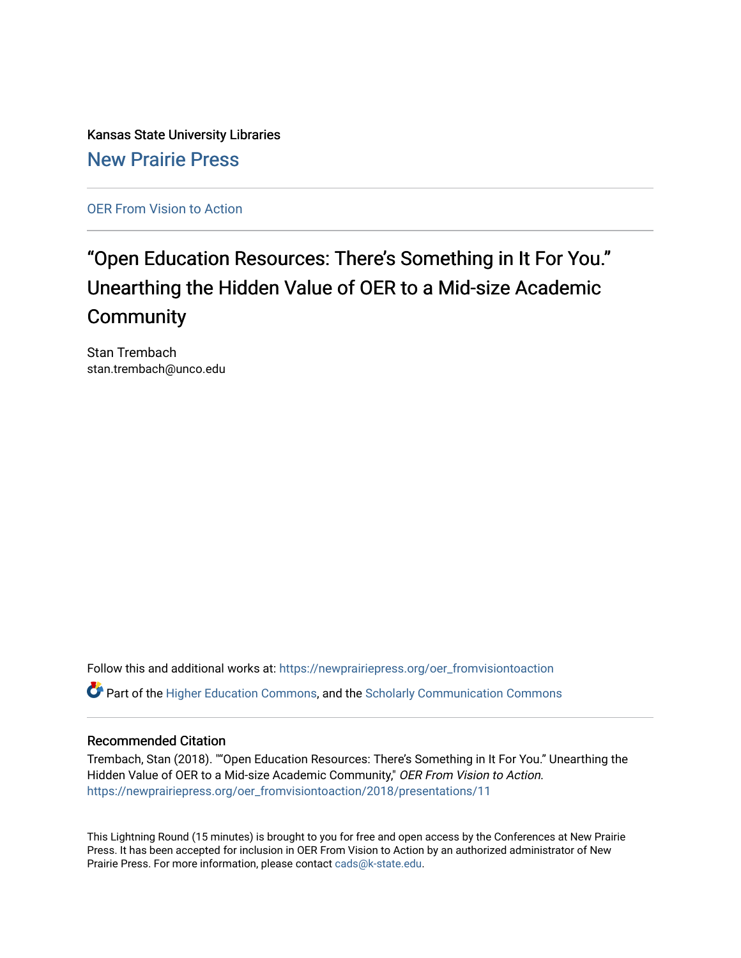Kansas State University Libraries [New Prairie Press](https://newprairiepress.org/) 

[OER From Vision to Action](https://newprairiepress.org/oer_fromvisiontoaction) 

#### "Open Education Resources: There's Something in It For You." Unearthing the Hidden Value of OER to a Mid-size Academic **Community**

Stan Trembach stan.trembach@unco.edu

Follow this and additional works at: [https://newprairiepress.org/oer\\_fromvisiontoaction](https://newprairiepress.org/oer_fromvisiontoaction?utm_source=newprairiepress.org%2Foer_fromvisiontoaction%2F2018%2Fpresentations%2F11&utm_medium=PDF&utm_campaign=PDFCoverPages)  Part of the [Higher Education Commons,](http://network.bepress.com/hgg/discipline/1245?utm_source=newprairiepress.org%2Foer_fromvisiontoaction%2F2018%2Fpresentations%2F11&utm_medium=PDF&utm_campaign=PDFCoverPages) and the [Scholarly Communication Commons](http://network.bepress.com/hgg/discipline/1272?utm_source=newprairiepress.org%2Foer_fromvisiontoaction%2F2018%2Fpresentations%2F11&utm_medium=PDF&utm_campaign=PDFCoverPages) 

#### Recommended Citation

Trembach, Stan (2018). ""Open Education Resources: There's Something in It For You." Unearthing the Hidden Value of OER to a Mid-size Academic Community," OER From Vision to Action. [https://newprairiepress.org/oer\\_fromvisiontoaction/2018/presentations/11](https://newprairiepress.org/oer_fromvisiontoaction/2018/presentations/11) 

This Lightning Round (15 minutes) is brought to you for free and open access by the Conferences at New Prairie Press. It has been accepted for inclusion in OER From Vision to Action by an authorized administrator of New Prairie Press. For more information, please contact [cads@k-state.edu.](mailto:cads@k-state.edu)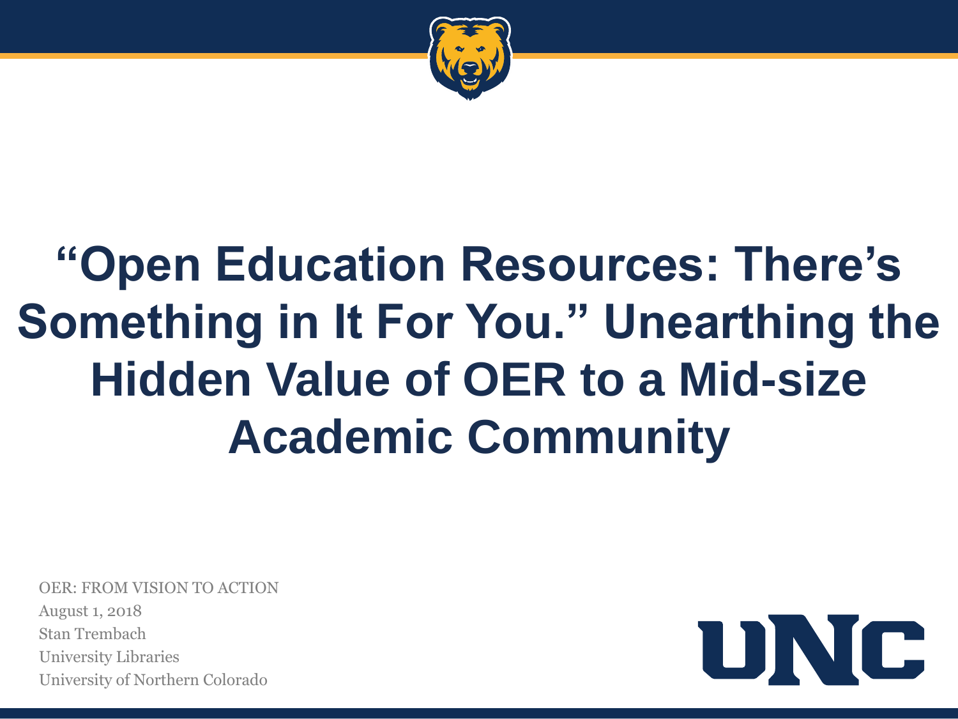

## **"Open Education Resources: There's Something in It For You." Unearthing the Hidden Value of OER to a Mid-size Academic Community**

OER: FROM VISION TO ACTION August 1, 2018 Stan Trembach University Libraries University of Northern Colorado

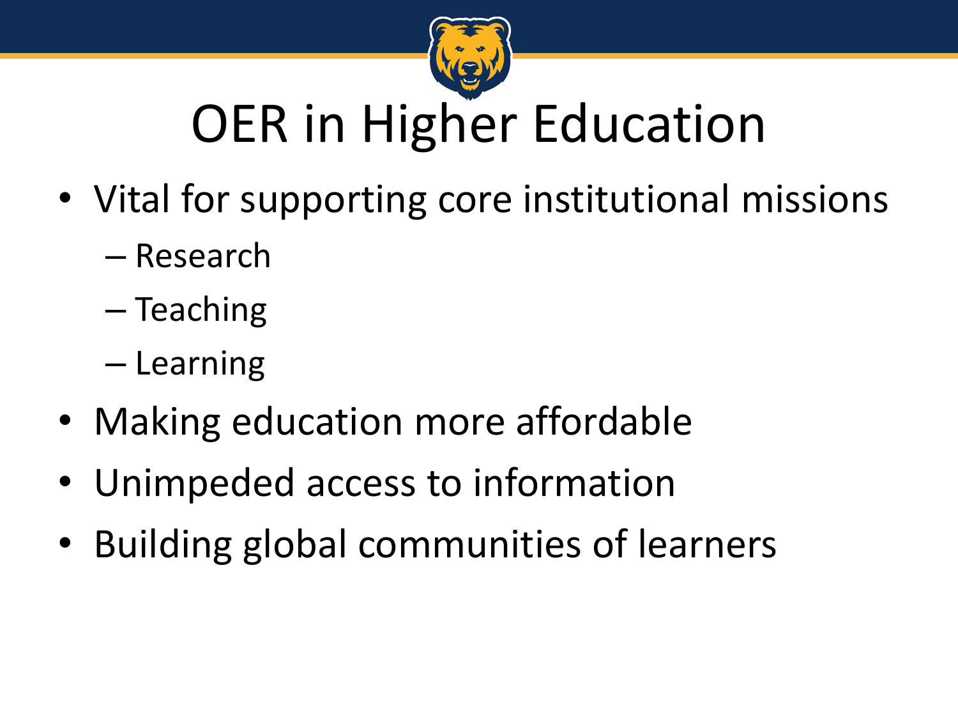

# OER in Higher Education

- Vital for supporting core institutional missions
	- Research
	- Teaching
	- Learning
- Making education more affordable
- Unimpeded access to information
- Building global communities of learners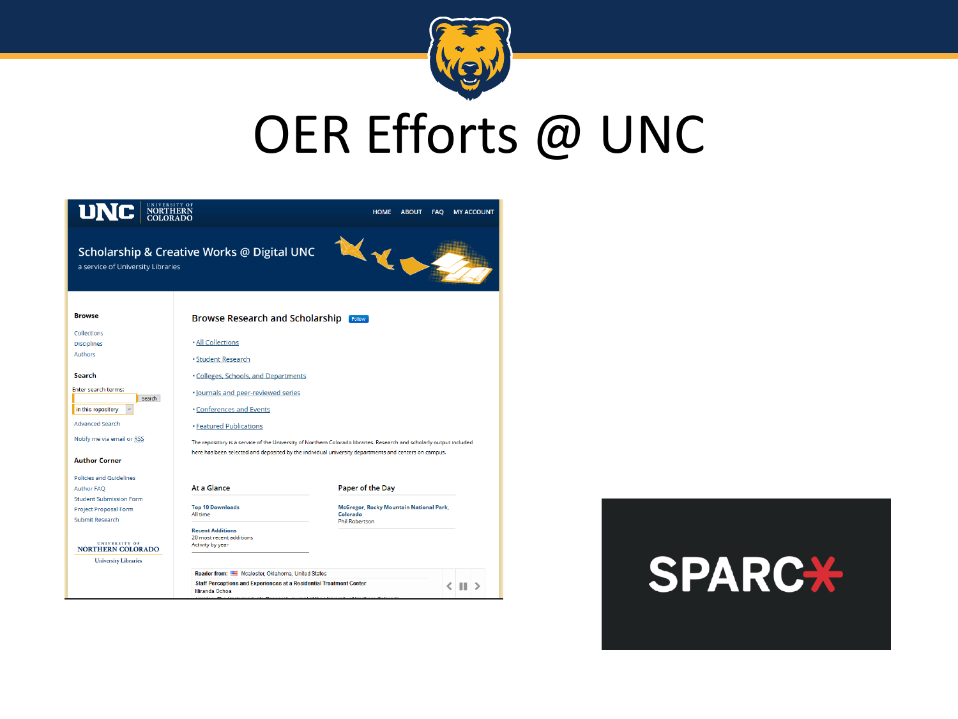

## OER Efforts @ UNC



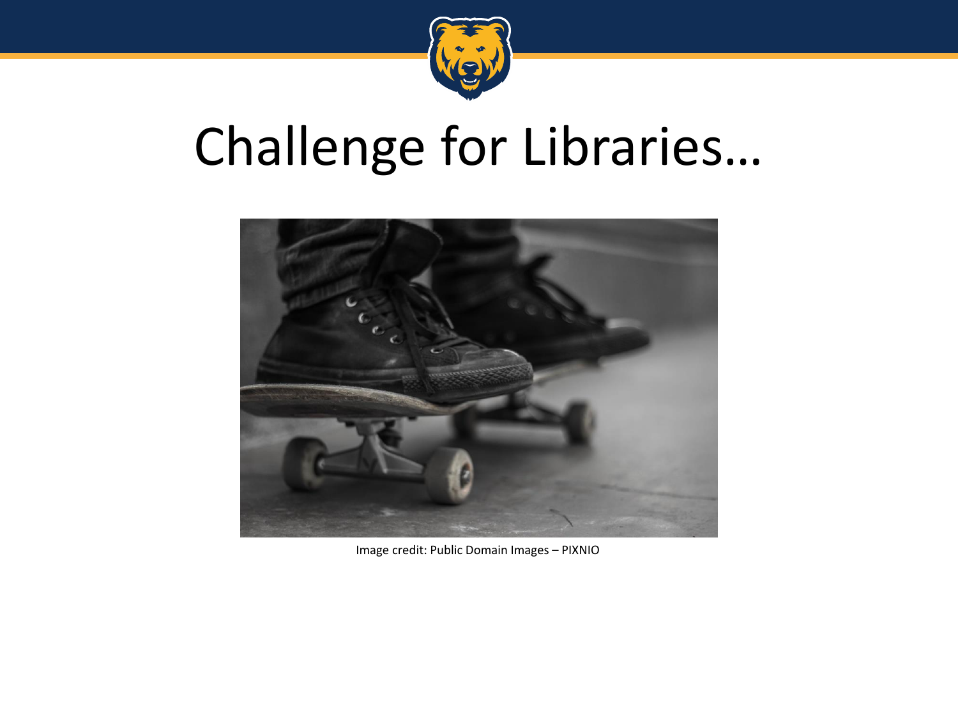

### Challenge for Libraries…



Image credit: Public Domain Images – PIXNIO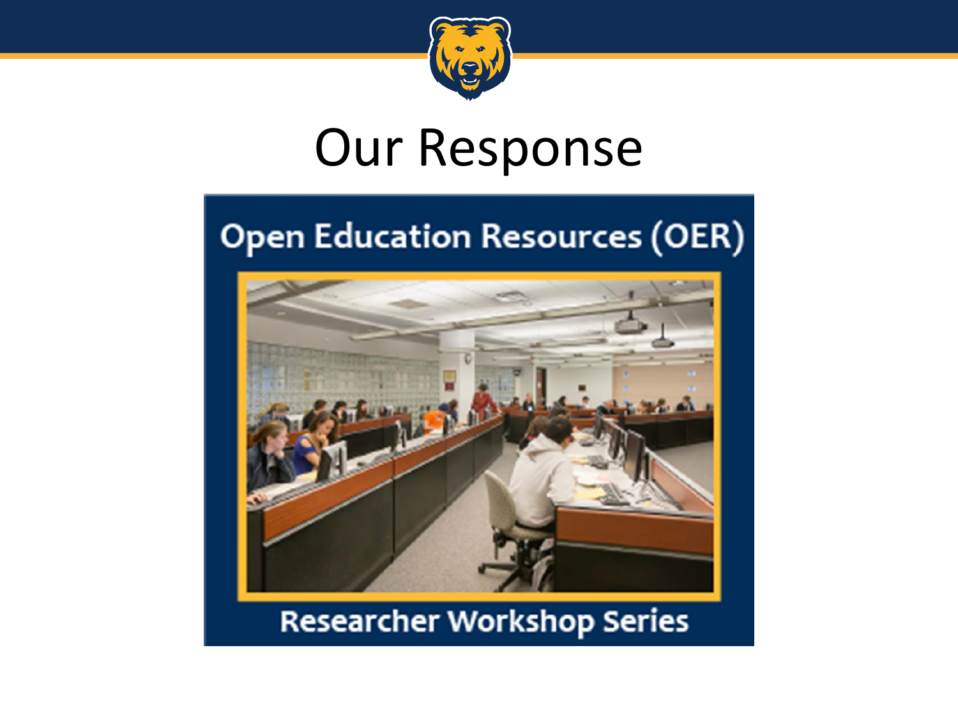

### Our Response

### **Open Education Resources (OER)**



### **Researcher Workshop Series**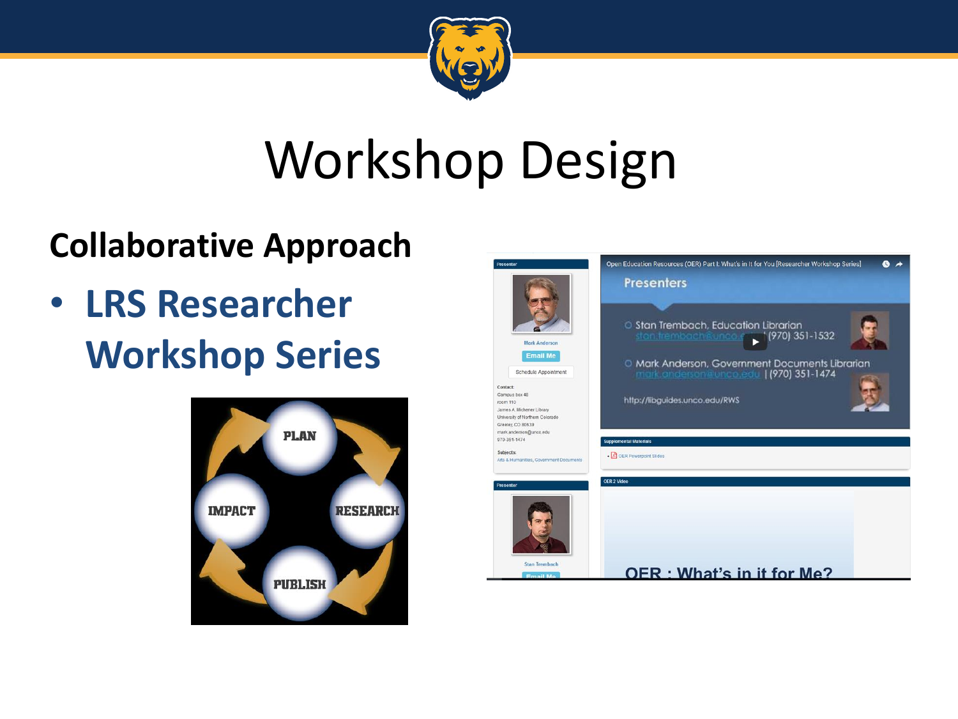

# Workshop Design

### **Collaborative Approach**

• **LRS Researcher Workshop Series**



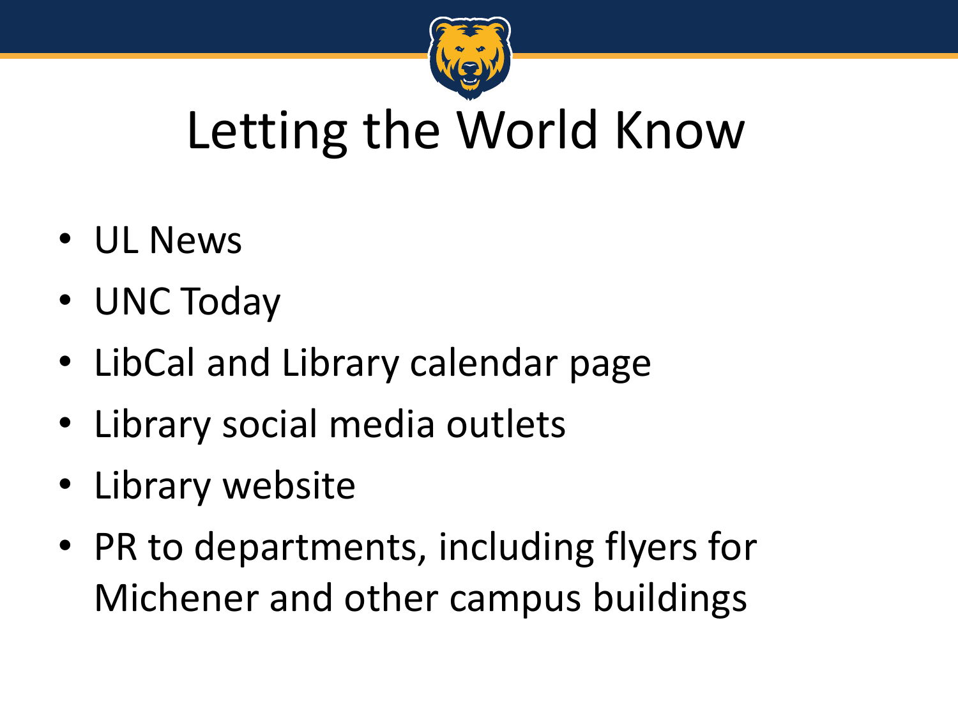

### Letting the World Know

- UL News
- UNC Today
- LibCal and Library calendar page
- Library social media outlets
- Library website
- PR to departments, including flyers for Michener and other campus buildings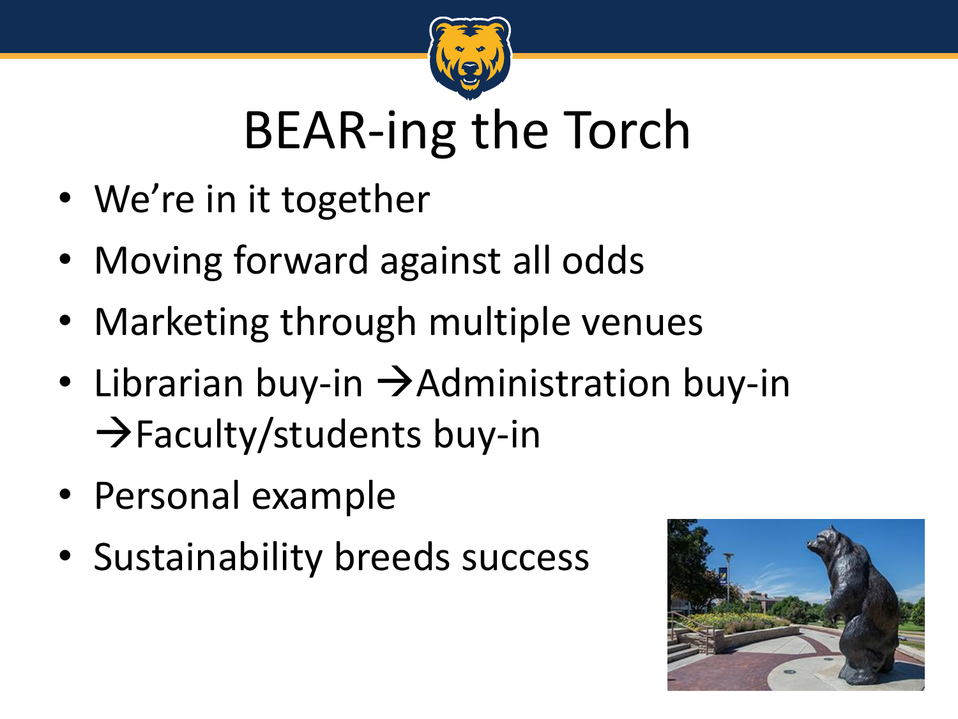

### BEAR-ing the Torch

- We're in it together
- Moving forward against all odds
- Marketing through multiple venues
- Librarian buy-in  $\rightarrow$  Administration buy-in  $\rightarrow$  Faculty/students buy-in
- Personal example
- Sustainability breeds success